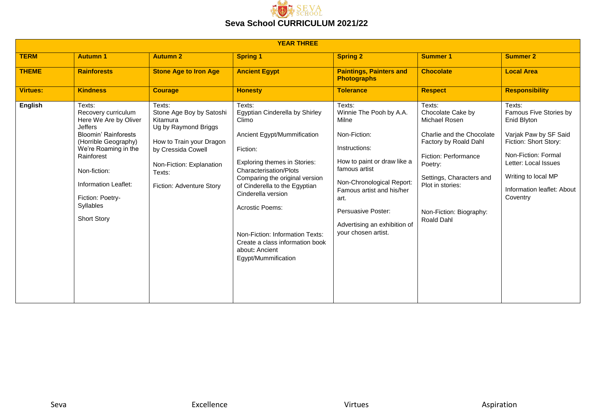

|                 | <b>YEAR THREE</b>                                                                                                                                                                                                                                                    |                                                                                                                                                                                            |                                                                                                                                                                                                                                                                                                                                                                                                 |                                                                                                                                                                                                                                                                            |                                                                                                                                                                                                                                |                                                                                                                                                                                                                   |  |  |
|-----------------|----------------------------------------------------------------------------------------------------------------------------------------------------------------------------------------------------------------------------------------------------------------------|--------------------------------------------------------------------------------------------------------------------------------------------------------------------------------------------|-------------------------------------------------------------------------------------------------------------------------------------------------------------------------------------------------------------------------------------------------------------------------------------------------------------------------------------------------------------------------------------------------|----------------------------------------------------------------------------------------------------------------------------------------------------------------------------------------------------------------------------------------------------------------------------|--------------------------------------------------------------------------------------------------------------------------------------------------------------------------------------------------------------------------------|-------------------------------------------------------------------------------------------------------------------------------------------------------------------------------------------------------------------|--|--|
| <b>TERM</b>     | <b>Autumn 1</b>                                                                                                                                                                                                                                                      | <b>Autumn 2</b>                                                                                                                                                                            | <b>Spring 1</b>                                                                                                                                                                                                                                                                                                                                                                                 | <b>Spring 2</b>                                                                                                                                                                                                                                                            | <b>Summer 1</b>                                                                                                                                                                                                                | <b>Summer 2</b>                                                                                                                                                                                                   |  |  |
| <b>THEME</b>    | <b>Rainforests</b>                                                                                                                                                                                                                                                   | <b>Stone Age to Iron Age</b>                                                                                                                                                               | <b>Ancient Egypt</b>                                                                                                                                                                                                                                                                                                                                                                            | <b>Paintings, Painters and</b><br><b>Photographs</b>                                                                                                                                                                                                                       | <b>Chocolate</b>                                                                                                                                                                                                               | <b>Local Area</b>                                                                                                                                                                                                 |  |  |
| <b>Virtues:</b> | <b>Kindness</b>                                                                                                                                                                                                                                                      | <b>Courage</b>                                                                                                                                                                             | <b>Honesty</b>                                                                                                                                                                                                                                                                                                                                                                                  | <b>Tolerance</b>                                                                                                                                                                                                                                                           | <b>Respect</b>                                                                                                                                                                                                                 | <b>Responsibility</b>                                                                                                                                                                                             |  |  |
| English         | Texts:<br>Recovery curriculum<br>Here We Are by Oliver<br><b>Jeffers</b><br><b>Bloomin' Rainforests</b><br>(Horrible Geography)<br>We're Roaming in the<br>Rainforest<br>Non-fiction:<br>Information Leaflet:<br>Fiction: Poetry-<br>Syllables<br><b>Short Story</b> | Texts:<br>Stone Age Boy by Satoshi<br>Kitamura<br>Ug by Raymond Briggs<br>How to Train your Dragon<br>by Cressida Cowell<br>Non-Fiction: Explanation<br>Texts:<br>Fiction: Adventure Story | Texts:<br>Egyptian Cinderella by Shirley<br>Climo<br>Ancient Egypt/Mummification<br>Fiction:<br><b>Exploring themes in Stories:</b><br><b>Characterisation/Plots</b><br>Comparing the original version<br>of Cinderella to the Egyptian<br>Cinderella version<br>Acrostic Poems:<br>Non-Fiction: Information Texts:<br>Create a class information book<br>about: Ancient<br>Egypt/Mummification | Texts:<br>Winnie The Pooh by A.A.<br>Milne<br>Non-Fiction:<br>Instructions:<br>How to paint or draw like a<br>famous artist<br>Non-Chronological Report:<br>Famous artist and his/her<br>art.<br>Persuasive Poster:<br>Advertising an exhibition of<br>your chosen artist. | Texts:<br>Chocolate Cake by<br>Michael Rosen<br>Charlie and the Chocolate<br>Factory by Roald Dahl<br>Fiction: Performance<br>Poetry:<br>Settings, Characters and<br>Plot in stories:<br>Non-Fiction: Biography:<br>Roald Dahl | Texts:<br>Famous Five Stories by<br>Enid Blyton<br>Varjak Paw by SF Said<br>Fiction: Short Story:<br>Non-Fiction: Formal<br>Letter: Local Issues<br>Writing to local MP<br>Information leaflet: About<br>Coventry |  |  |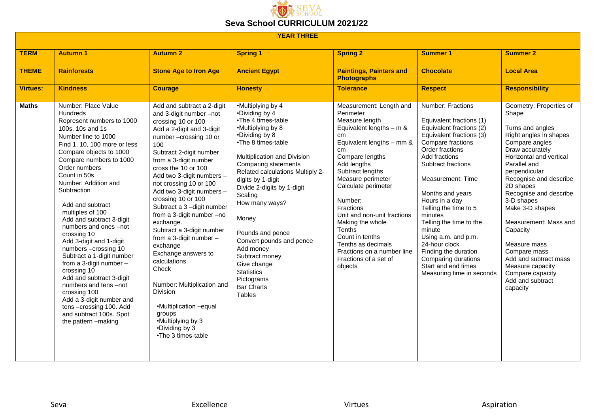

|                 | <b>YEAR THREE</b>                                                                                                                                                                                                                                                                                                                                                                                                                                                                                                                                                                                                                                                                                |                                                                                                                                                                                                                                                                                                                                                                                                                                                                                                                                                                                                                                                                      |                                                                                                                                                                                                                                                                                                                                                                                                                                                                            |                                                                                                                                                                                                                                                                                                                                                                                                                                                |                                                                                                                                                                                                                                                                                                                                                                                                                                                                     |                                                                                                                                                                                                                                                                                                                                                                                                                                                         |  |
|-----------------|--------------------------------------------------------------------------------------------------------------------------------------------------------------------------------------------------------------------------------------------------------------------------------------------------------------------------------------------------------------------------------------------------------------------------------------------------------------------------------------------------------------------------------------------------------------------------------------------------------------------------------------------------------------------------------------------------|----------------------------------------------------------------------------------------------------------------------------------------------------------------------------------------------------------------------------------------------------------------------------------------------------------------------------------------------------------------------------------------------------------------------------------------------------------------------------------------------------------------------------------------------------------------------------------------------------------------------------------------------------------------------|----------------------------------------------------------------------------------------------------------------------------------------------------------------------------------------------------------------------------------------------------------------------------------------------------------------------------------------------------------------------------------------------------------------------------------------------------------------------------|------------------------------------------------------------------------------------------------------------------------------------------------------------------------------------------------------------------------------------------------------------------------------------------------------------------------------------------------------------------------------------------------------------------------------------------------|---------------------------------------------------------------------------------------------------------------------------------------------------------------------------------------------------------------------------------------------------------------------------------------------------------------------------------------------------------------------------------------------------------------------------------------------------------------------|---------------------------------------------------------------------------------------------------------------------------------------------------------------------------------------------------------------------------------------------------------------------------------------------------------------------------------------------------------------------------------------------------------------------------------------------------------|--|
| <b>TERM</b>     | <b>Autumn 1</b>                                                                                                                                                                                                                                                                                                                                                                                                                                                                                                                                                                                                                                                                                  | <b>Autumn 2</b>                                                                                                                                                                                                                                                                                                                                                                                                                                                                                                                                                                                                                                                      | <b>Spring 1</b>                                                                                                                                                                                                                                                                                                                                                                                                                                                            | <b>Spring 2</b>                                                                                                                                                                                                                                                                                                                                                                                                                                | <b>Summer 1</b>                                                                                                                                                                                                                                                                                                                                                                                                                                                     | <b>Summer 2</b>                                                                                                                                                                                                                                                                                                                                                                                                                                         |  |
| <b>THEME</b>    | <b>Rainforests</b>                                                                                                                                                                                                                                                                                                                                                                                                                                                                                                                                                                                                                                                                               | <b>Stone Age to Iron Age</b>                                                                                                                                                                                                                                                                                                                                                                                                                                                                                                                                                                                                                                         | <b>Ancient Egypt</b>                                                                                                                                                                                                                                                                                                                                                                                                                                                       | <b>Paintings, Painters and</b><br><b>Photographs</b>                                                                                                                                                                                                                                                                                                                                                                                           | <b>Chocolate</b>                                                                                                                                                                                                                                                                                                                                                                                                                                                    | <b>Local Area</b>                                                                                                                                                                                                                                                                                                                                                                                                                                       |  |
| <b>Virtues:</b> | <b>Kindness</b>                                                                                                                                                                                                                                                                                                                                                                                                                                                                                                                                                                                                                                                                                  | <b>Courage</b>                                                                                                                                                                                                                                                                                                                                                                                                                                                                                                                                                                                                                                                       | <b>Honesty</b>                                                                                                                                                                                                                                                                                                                                                                                                                                                             | <b>Tolerance</b>                                                                                                                                                                                                                                                                                                                                                                                                                               | <b>Respect</b>                                                                                                                                                                                                                                                                                                                                                                                                                                                      | <b>Responsibility</b>                                                                                                                                                                                                                                                                                                                                                                                                                                   |  |
| <b>Maths</b>    | Number: Place Value<br><b>Hundreds</b><br>Represent numbers to 1000<br>100s, 10s and 1s<br>Number line to 1000<br>Find 1, 10, 100 more or less<br>Compare objects to 1000<br>Compare numbers to 1000<br>Order numbers<br>Count in 50s<br>Number: Addition and<br>Subtraction<br>Add and subtract<br>multiples of 100<br>Add and subtract 3-digit<br>numbers and ones -not<br>crossing 10<br>Add 3-digit and 1-digit<br>numbers - crossing 10<br>Subtract a 1-digit number<br>from a 3-digit number -<br>crossing 10<br>Add and subtract 3-digit<br>numbers and tens -not<br>crossing 100<br>Add a 3-digit number and<br>tens-crossing 100. Add<br>and subtract 100s. Spot<br>the pattern -making | Add and subtract a 2-digit<br>and 3-digit number -not<br>crossing 10 or 100<br>Add a 2-digit and 3-digit<br>number-crossing 10 or<br>100<br>Subtract 2-digit number<br>from a 3-digit number<br>cross the 10 or 100<br>Add two 3-digit numbers -<br>not crossing 10 or 100<br>Add two 3-digit numbers -<br>crossing 10 or 100<br>Subtract a 3-digit number<br>from a 3-digit number -no<br>exchange.<br>Subtract a 3-digit number<br>from a 3-digit number -<br>exchange<br>Exchange answers to<br>calculations<br>Check<br>Number: Multiplication and<br>Division<br>•Multiplication - equal<br>groups<br>•Multiplying by 3<br>•Dividing by 3<br>•The 3 times-table | •Multiplying by 4<br>•Dividing by 4<br>•The 4 times-table<br>•Multiplying by 8<br>•Dividing by 8<br>•The 8 times-table<br>Multiplication and Division<br>Comparing statements<br>Related calculations Multiply 2-<br>digits by 1-digit<br>Divide 2-digits by 1-digit<br>Scaling<br>How many ways?<br>Money<br>Pounds and pence<br>Convert pounds and pence<br>Add money<br>Subtract money<br>Give change<br><b>Statistics</b><br>Pictograms<br><b>Bar Charts</b><br>Tables | Measurement: Length and<br>Perimeter<br>Measure length<br>Equivalent lengths $-$ m &<br>cm <sub>2</sub><br>Equivalent lengths $-$ mm &<br>cm<br>Compare lengths<br>Add lengths<br>Subtract lengths<br>Measure perimeter<br>Calculate perimeter<br>Number:<br>Fractions<br>Unit and non-unit fractions<br>Making the whole<br>Tenths<br>Count in tenths<br>Tenths as decimals<br>Fractions on a number line<br>Fractions of a set of<br>objects | Number: Fractions<br>Equivalent fractions (1)<br>Equivalent fractions (2)<br>Equivalent fractions (3)<br>Compare fractions<br>Order fractions<br>Add fractions<br>Subtract fractions<br>Measurement: Time<br>Months and years<br>Hours in a day<br>Telling the time to 5<br>minutes<br>Telling the time to the<br>minute<br>Using a.m. and p.m.<br>24-hour clock<br>Finding the duration<br>Comparing durations<br>Start and end times<br>Measuring time in seconds | Geometry: Properties of<br>Shape<br>Turns and angles<br>Right angles in shapes<br>Compare angles<br>Draw accurately<br>Horizontal and vertical<br>Parallel and<br>perpendicular<br>Recognise and describe<br>2D shapes<br>Recognise and describe<br>3-D shapes<br>Make 3-D shapes<br>Measurement: Mass and<br>Capacity<br>Measure mass<br>Compare mass<br>Add and subtract mass<br>Measure capacity<br>Compare capacity<br>Add and subtract<br>capacity |  |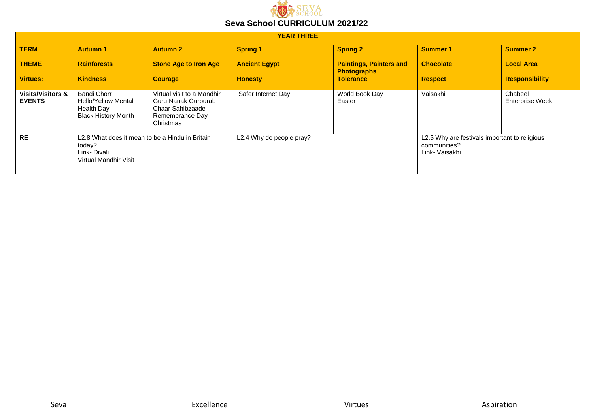

| <b>YEAR THREE</b>                             |                                                                                                   |                                                                                                       |                          |                                                      |                                                                                 |                                   |  |  |
|-----------------------------------------------|---------------------------------------------------------------------------------------------------|-------------------------------------------------------------------------------------------------------|--------------------------|------------------------------------------------------|---------------------------------------------------------------------------------|-----------------------------------|--|--|
| <b>TERM</b>                                   | <b>Autumn 1</b>                                                                                   | <b>Autumn 2</b>                                                                                       | <b>Spring 1</b>          | <b>Spring 2</b>                                      | <b>Summer 1</b>                                                                 | <b>Summer 2</b>                   |  |  |
| <b>THEME</b>                                  | <b>Rainforests</b>                                                                                | <b>Stone Age to Iron Age</b>                                                                          | <b>Ancient Egypt</b>     | <b>Paintings, Painters and</b><br><b>Photographs</b> | <b>Chocolate</b>                                                                | <b>Local Area</b>                 |  |  |
| Virtues:                                      | <b>Kindness</b>                                                                                   | <b>Courage</b>                                                                                        | <b>Honesty</b>           | <b>Tolerance</b>                                     | <b>Respect</b>                                                                  | <b>Responsibility</b>             |  |  |
| <b>Visits/Visitors &amp;</b><br><b>EVENTS</b> | Bandi Chorr<br><b>Hello/Yellow Mental</b><br>Health Day<br><b>Black History Month</b>             | Virtual visit to a Mandhir<br>Guru Nanak Gurpurab<br>Chaar Sahibzaade<br>Remembrance Day<br>Christmas | Safer Internet Day       | World Book Day<br>Easter                             | Vaisakhi                                                                        | Chabeel<br><b>Enterprise Week</b> |  |  |
| <b>RE</b>                                     | L2.8 What does it mean to be a Hindu in Britain<br>today?<br>Link-Divali<br>Virtual Mandhir Visit |                                                                                                       | L2.4 Why do people pray? |                                                      | L2.5 Why are festivals important to religious<br>communities?<br>Link- Vaisakhi |                                   |  |  |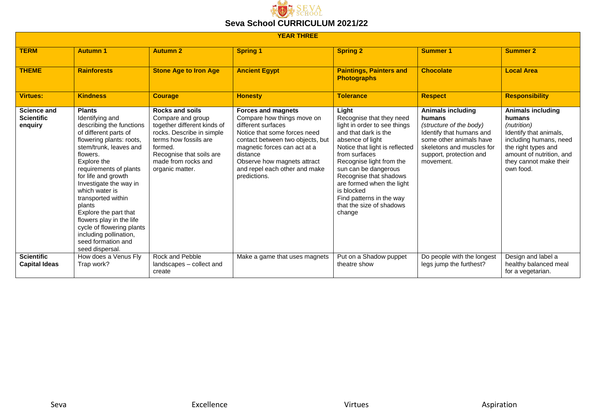

| <b>YEAR THREE</b>                                  |                                                                                                                                                                                                                                                                                                                                                                                                                                                          |                                                                                                                                                                                                                   |                                                                                                                                                                                                                                                                               |                                                                                                                                                                                                                                                                                                                                                             |                                                                                                                                                                                           |                                                                                                                                                                                                 |  |
|----------------------------------------------------|----------------------------------------------------------------------------------------------------------------------------------------------------------------------------------------------------------------------------------------------------------------------------------------------------------------------------------------------------------------------------------------------------------------------------------------------------------|-------------------------------------------------------------------------------------------------------------------------------------------------------------------------------------------------------------------|-------------------------------------------------------------------------------------------------------------------------------------------------------------------------------------------------------------------------------------------------------------------------------|-------------------------------------------------------------------------------------------------------------------------------------------------------------------------------------------------------------------------------------------------------------------------------------------------------------------------------------------------------------|-------------------------------------------------------------------------------------------------------------------------------------------------------------------------------------------|-------------------------------------------------------------------------------------------------------------------------------------------------------------------------------------------------|--|
| <b>TERM</b>                                        | <b>Autumn 1</b>                                                                                                                                                                                                                                                                                                                                                                                                                                          | <b>Autumn 2</b>                                                                                                                                                                                                   | <b>Spring 1</b>                                                                                                                                                                                                                                                               | <b>Spring 2</b>                                                                                                                                                                                                                                                                                                                                             | <b>Summer 1</b>                                                                                                                                                                           | <b>Summer 2</b>                                                                                                                                                                                 |  |
| <b>THEME</b>                                       | <b>Rainforests</b>                                                                                                                                                                                                                                                                                                                                                                                                                                       | <b>Stone Age to Iron Age</b>                                                                                                                                                                                      | <b>Ancient Egypt</b>                                                                                                                                                                                                                                                          | <b>Paintings, Painters and</b><br><b>Photographs</b>                                                                                                                                                                                                                                                                                                        | <b>Chocolate</b>                                                                                                                                                                          | <b>Local Area</b>                                                                                                                                                                               |  |
| <b>Virtues:</b>                                    | <b>Kindness</b>                                                                                                                                                                                                                                                                                                                                                                                                                                          | <b>Courage</b>                                                                                                                                                                                                    | <b>Honesty</b>                                                                                                                                                                                                                                                                | <b>Tolerance</b>                                                                                                                                                                                                                                                                                                                                            | <b>Respect</b>                                                                                                                                                                            | <b>Responsibility</b>                                                                                                                                                                           |  |
| <b>Science and</b><br><b>Scientific</b><br>enquiry | <b>Plants</b><br>Identifying and<br>describing the functions<br>of different parts of<br>flowering plants: roots,<br>stem/trunk, leaves and<br>flowers.<br>Explore the<br>requirements of plants<br>for life and growth<br>Investigate the way in<br>which water is<br>transported within<br>plants<br>Explore the part that<br>flowers play in the life<br>cycle of flowering plants<br>including pollination,<br>seed formation and<br>seed dispersal. | <b>Rocks and soils</b><br>Compare and group<br>together different kinds of<br>rocks. Describe in simple<br>terms how fossils are<br>formed.<br>Recognise that soils are<br>made from rocks and<br>organic matter. | <b>Forces and magnets</b><br>Compare how things move on<br>different surfaces<br>Notice that some forces need<br>contact between two objects, but<br>magnetic forces can act at a<br>distance<br>Observe how magnets attract<br>and repel each other and make<br>predictions. | Light<br>Recognise that they need<br>light in order to see things<br>and that dark is the<br>absence of light<br>Notice that light is reflected<br>from surfaces<br>Recognise light from the<br>sun can be dangerous<br>Recognise that shadows<br>are formed when the light<br>is blocked<br>Find patterns in the way<br>that the size of shadows<br>change | <b>Animals including</b><br>humans<br>(structure of the body)<br>Identify that humans and<br>some other animals have<br>skeletons and muscles for<br>support, protection and<br>movement. | <b>Animals including</b><br>humans<br>(nutrition)<br>Identify that animals,<br>including humans, need<br>the right types and<br>amount of nutrition, and<br>they cannot make their<br>own food. |  |
| <b>Scientific</b><br><b>Capital Ideas</b>          | How does a Venus Fly<br>Trap work?                                                                                                                                                                                                                                                                                                                                                                                                                       | Rock and Pebble<br>landscapes - collect and<br>create                                                                                                                                                             | Make a game that uses magnets                                                                                                                                                                                                                                                 | Put on a Shadow puppet<br>theatre show                                                                                                                                                                                                                                                                                                                      | Do people with the longest<br>legs jump the furthest?                                                                                                                                     | Design and label a<br>healthy balanced meal<br>for a vegetarian.                                                                                                                                |  |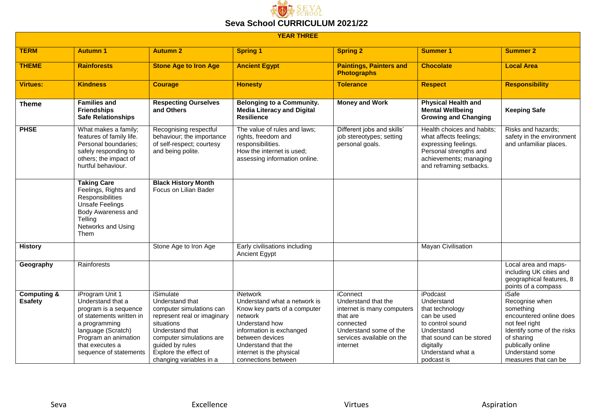

| <b>YEAR THREE</b>                        |                                                                                                                                                                                                       |                                                                                                                                                                                                                             |                                                                                                                                                                                                                                |                                                                                                                                                                  |                                                                                                                                                                        |                                                                                                                                                                                               |  |
|------------------------------------------|-------------------------------------------------------------------------------------------------------------------------------------------------------------------------------------------------------|-----------------------------------------------------------------------------------------------------------------------------------------------------------------------------------------------------------------------------|--------------------------------------------------------------------------------------------------------------------------------------------------------------------------------------------------------------------------------|------------------------------------------------------------------------------------------------------------------------------------------------------------------|------------------------------------------------------------------------------------------------------------------------------------------------------------------------|-----------------------------------------------------------------------------------------------------------------------------------------------------------------------------------------------|--|
| <b>TERM</b>                              | <b>Autumn 1</b>                                                                                                                                                                                       | <b>Autumn 2</b>                                                                                                                                                                                                             | <b>Spring 1</b>                                                                                                                                                                                                                | <b>Spring 2</b>                                                                                                                                                  | <b>Summer 1</b>                                                                                                                                                        | <b>Summer 2</b>                                                                                                                                                                               |  |
| <b>THEME</b>                             | <b>Rainforests</b>                                                                                                                                                                                    | <b>Stone Age to Iron Age</b>                                                                                                                                                                                                | <b>Ancient Egypt</b>                                                                                                                                                                                                           | <b>Paintings, Painters and</b><br><b>Photographs</b>                                                                                                             | <b>Chocolate</b>                                                                                                                                                       | <b>Local Area</b>                                                                                                                                                                             |  |
| <b>Virtues:</b>                          | <b>Kindness</b>                                                                                                                                                                                       | <b>Courage</b>                                                                                                                                                                                                              | <b>Honesty</b>                                                                                                                                                                                                                 | <b>Tolerance</b>                                                                                                                                                 | <b>Respect</b>                                                                                                                                                         | <b>Responsibility</b>                                                                                                                                                                         |  |
| <b>Theme</b>                             | <b>Families and</b><br><b>Friendships</b><br><b>Safe Relationships</b>                                                                                                                                | <b>Respecting Ourselves</b><br>and Others                                                                                                                                                                                   | <b>Belonging to a Community.</b><br><b>Media Literacy and Digital</b><br><b>Resilience</b>                                                                                                                                     | <b>Money and Work</b>                                                                                                                                            | <b>Physical Health and</b><br><b>Mental Wellbeing</b><br><b>Growing and Changing</b>                                                                                   | <b>Keeping Safe</b>                                                                                                                                                                           |  |
| <b>PHSE</b>                              | What makes a family;<br>features of family life.<br>Personal boundaries:<br>safely responding to<br>others; the impact of<br>hurtful behaviour.                                                       | Recognising respectful<br>behaviour; the importance<br>of self-respect; courtesy<br>and being polite.                                                                                                                       | The value of rules and laws;<br>rights, freedom and<br>responsibilities.<br>How the internet is used;<br>assessing information online.                                                                                         | Different jobs and skills'<br>job stereotypes; setting<br>personal goals.                                                                                        | Health choices and habits;<br>what affects feelings;<br>expressing feelings.<br>Personal strengths and<br>achievements; managing<br>and reframing setbacks.            | Risks and hazards:<br>safety in the environment<br>and unfamiliar places.                                                                                                                     |  |
|                                          | <b>Taking Care</b><br>Feelings, Rights and<br>Responsibilities<br><b>Unsafe Feelings</b><br>Body Awareness and<br>Telling<br>Networks and Using<br>Them                                               | <b>Black History Month</b><br>Focus on Lilian Bader                                                                                                                                                                         |                                                                                                                                                                                                                                |                                                                                                                                                                  |                                                                                                                                                                        |                                                                                                                                                                                               |  |
| <b>History</b>                           |                                                                                                                                                                                                       | Stone Age to Iron Age                                                                                                                                                                                                       | Early civilisations including<br>Ancient Egypt                                                                                                                                                                                 |                                                                                                                                                                  | Mayan Civilisation                                                                                                                                                     |                                                                                                                                                                                               |  |
| Geography                                | Rainforests                                                                                                                                                                                           |                                                                                                                                                                                                                             |                                                                                                                                                                                                                                |                                                                                                                                                                  |                                                                                                                                                                        | Local area and maps-<br>including UK cities and<br>geographical features, 8<br>points of a compass                                                                                            |  |
| <b>Computing &amp;</b><br><b>Esafety</b> | iProgram Unit 1<br>Understand that a<br>program is a sequence<br>of statements written in<br>a programming<br>language (Scratch)<br>Program an animation<br>that executes a<br>sequence of statements | iSimulate<br>Understand that<br>computer simulations can<br>represent real or imaginary<br>situations<br>Understand that<br>computer simulations are<br>guided by rules<br>Explore the effect of<br>changing variables in a | iNetwork<br>Understand what a network is<br>Know key parts of a computer<br>network<br>Understand how<br>information is exchanged<br>between devices<br>Understand that the<br>internet is the physical<br>connections between | <b>iConnect</b><br>Understand that the<br>internet is many computers<br>that are<br>connected<br>Understand some of the<br>services available on the<br>internet | iPodcast<br>Understand<br>that technology<br>can be used<br>to control sound<br>Understand<br>that sound can be stored<br>digitally<br>Understand what a<br>podcast is | iSafe<br>Recognise when<br>something<br>encountered online does<br>not feel right<br>Identify some of the risks<br>of sharing<br>publically online<br>Understand some<br>measures that can be |  |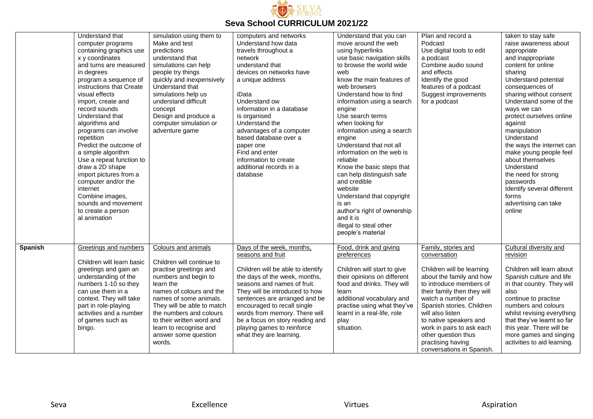

|                | Understand that<br>computer programs<br>containing graphics use<br>x y coordinates<br>and turns are measured<br>in degrees<br>program a sequence of<br>instructions that Create<br>visual effects<br>import, create and<br>record sounds<br>Understand that<br>algorithms and<br>programs can involve<br>repetition<br>Predict the outcome of<br>a simple algorithm<br>Use a repeat function to<br>draw a 2D shape<br>import pictures from a<br>computer and/or the<br>internet<br>Combine images,<br>sounds and movement<br>to create a person<br>al animation | simulation using them to<br>Make and test<br>predictions<br>understand that<br>simulations can help<br>people try things<br>quickly and inexpensively<br>Understand that<br>simulations help us<br>understand difficult<br>concept<br>Design and produce a<br>computer simulation or<br>adventure game                  | computers and networks<br>Understand how data<br>travels throughout a<br>network<br>understand that<br>devices on networks have<br>a unique address<br>iData<br>Understand ow<br>information in a database<br>is organised<br>Understand the<br>advantages of a computer<br>based database over a<br>paper one<br>Find and enter<br>information to create<br>additional records in a<br>database | Understand that you can<br>move around the web<br>using hyperlinks<br>use basic navigation skills<br>to browse the world wide<br>web<br>know the main features of<br>web browsers<br>Understand how to find<br>information using a search<br>engine<br>Use search terms<br>when looking for<br>information using a search<br>engine<br>Understand that not all<br>information on the web is<br>reliable<br>Know the basic steps that<br>can help distinguish safe<br>and credible<br>website<br>Understand that copyright<br>is an<br>author's right of ownership<br>and it is<br>illegal to steal other<br>people's material | Plan and record a<br>Podcast<br>Use digital tools to edit<br>a podcast<br>Combine audio sound<br>and effects<br>Identify the good<br>features of a podcast<br>Suggest improvements<br>for a podcast                                                                                                                                                          | taken to stay safe<br>raise awareness about<br>appropriate<br>and inappropriate<br>content for online<br>sharing<br>Understand potential<br>consequences of<br>sharing without consent<br>Understand some of the<br>ways we can<br>protect ourselves online<br>against<br>manipulation<br>Understand<br>the ways the internet can<br>make young people feel<br>about themselves<br>Understand<br>the need for strong<br>passwords<br>Identify several different<br>forms<br>advertising can take<br>online |
|----------------|-----------------------------------------------------------------------------------------------------------------------------------------------------------------------------------------------------------------------------------------------------------------------------------------------------------------------------------------------------------------------------------------------------------------------------------------------------------------------------------------------------------------------------------------------------------------|-------------------------------------------------------------------------------------------------------------------------------------------------------------------------------------------------------------------------------------------------------------------------------------------------------------------------|--------------------------------------------------------------------------------------------------------------------------------------------------------------------------------------------------------------------------------------------------------------------------------------------------------------------------------------------------------------------------------------------------|-------------------------------------------------------------------------------------------------------------------------------------------------------------------------------------------------------------------------------------------------------------------------------------------------------------------------------------------------------------------------------------------------------------------------------------------------------------------------------------------------------------------------------------------------------------------------------------------------------------------------------|--------------------------------------------------------------------------------------------------------------------------------------------------------------------------------------------------------------------------------------------------------------------------------------------------------------------------------------------------------------|------------------------------------------------------------------------------------------------------------------------------------------------------------------------------------------------------------------------------------------------------------------------------------------------------------------------------------------------------------------------------------------------------------------------------------------------------------------------------------------------------------|
| <b>Spanish</b> | Greetings and numbers<br>Children will learn basic<br>greetings and gain an<br>understanding of the<br>numbers 1-10 so they<br>can use them in a<br>context. They will take<br>part in role-playing<br>activities and a number<br>of games such as<br>bingo.                                                                                                                                                                                                                                                                                                    | Colours and animals<br>Children will continue to<br>practise greetings and<br>numbers and begin to<br>learn the<br>names of colours and the<br>names of some animals.<br>They will be able to match<br>the numbers and colours<br>to their written word and<br>learn to recognise and<br>answer some question<br>words. | Days of the week, months,<br>seasons and fruit<br>Children will be able to identify<br>the days of the week, months,<br>seasons and names of fruit.<br>They will be introduced to how<br>sentences are arranged and be<br>encouraged to recall single<br>words from memory. There will<br>be a focus on story reading and<br>playing games to reinforce<br>what they are learning.               | Food, drink and giving<br>preferences<br>Children will start to give<br>their opinions on different<br>food and drinks. They will<br>learn<br>additional vocabulary and<br>practise using what they've<br>learnt in a real-life, role<br>play<br>situation.                                                                                                                                                                                                                                                                                                                                                                   | Family, stories and<br>conversation<br>Children will be learning<br>about the family and how<br>to introduce members of<br>their family then they will<br>watch a number of<br>Spanish stories. Children<br>will also listen<br>to native speakers and<br>work in pairs to ask each<br>other question thus<br>practising having<br>conversations in Spanish. | Cultural diversity and<br>revision<br>Children will learn about<br>Spanish culture and life<br>in that country. They will<br>also<br>continue to practise<br>numbers and colours<br>whilst revising everything<br>that they've learnt so far<br>this year. There will be<br>more games and singing<br>activities to aid learning.                                                                                                                                                                          |